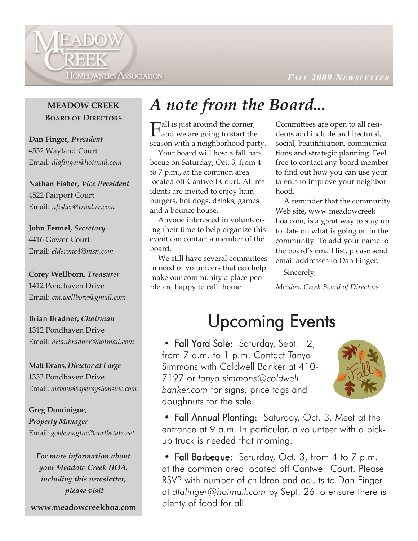

#### *FALL 2009 NEWSLETTER EWSLETTER*

### **MEADOW CREEK BOARD OF DIRECTORS**

**Dan Finger,** *President* 4552 Wayland Court Email: *dlafinger@hotmail.com*

**Nathan Fisher,** *Vice President* 4522 Fairport Court Email: *nfisher@triad.rr.com*

**John Fennel,** *Secretary* 4416 Gower Court Email: *elderone4@msn.com*

**Corey Wellborn,** *Treasurer* 1412 Pondhaven Drive Email: *cm.wellborn@gmail.com*

**Brian Bradner,** *Chairman* 1312 Pondhaven Drive Email: *brianbradner@hotmail.com*

**Matt Evans,** *Director at Large* 1333 Pondhaven Drive Email: *mevans@apexsystemsinc.com*

**Greg Dominigue,**  *Property Manager* Email: *goldenmgtnc@northstate.net*

*For more information about your Meadow Creek HOA, including this newsletter, please visit* 

**www.meadowcreekhoa.com**

## *A note from the Board...*

 $\Gamma$ all is just around the corner,<br>and we are going to start the season with a neighborhood party.

Your board will host a fall barbecue on Saturday, Oct. 3, from 4 to 7 p.m., at the common area located off Cantwell Court. All residents are invited to enjoy hamburgers, hot dogs, drinks, games and a bounce house.

Anyone interested in volunteering their time to help organize this event can contact a member of the board.

We still have several committees in need of volunteers that can help make our community a place people are happy to call home.

Committees are open to all residents and include architectural, social, beautification, communications and strategic planning. Feel free to contact any board member to find out how you can use your talents to improve your neighborhood.

A reminder that the community Web site, www.meadowcreek hoa.com, is a great way to stay up to date on what is going on in the community. To add your name to the board's email list, please send email addresses to Dan Finger.

Sincerely,

*Meadow Creek Board of Directors*

## Upcoming Events

• Fall Yard Sale: Saturday, Sept. 12, from 7 a.m. to 1 p.m. Contact Tanya Simmons with Coldwell Banker at 410- 7197 or *tanya.simmons@coldwell banker.com* for signs, price tags and doughnuts for the sale.



• Fall Annual Planting: Saturday, Oct. 3. Meet at the entrance at 9 a.m. In particular, a volunteer with a pickup truck is needed that morning.

• Fall Barbeque: Saturday, Oct. 3, from 4 to 7 p.m. at the common area located off Cantwell Court. Please RSVP with number of children and adults to Dan Finger at *dlafinger@hotmail.com* by Sept. 26 to ensure there is plenty of food for all.